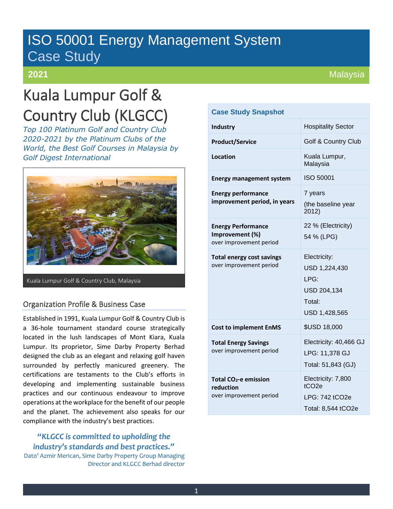# ISO 50001 Energy Management System Case Study

# **2021**

# Kuala Lumpur Golf & Country Club (KLGCC)

*Top 100 Platinum Golf and Country Club 2020-2021 by the Platinum Clubs of the World, the Best Golf Courses in Malaysia by Golf Digest International*



Kuala Lumpur Golf & Country Club, Malaysia

## Organization Profile & Business Case

Established in 1991, Kuala Lumpur Golf & Country Club is a 36-hole tournament standard course strategically located in the lush landscapes of Mont Kiara, Kuala Lumpur. Its proprietor, Sime Darby Property Berhad designed the club as an elegant and relaxing golf haven surrounded by perfectly manicured greenery. The certifications are testaments to the Club's efforts in developing and implementing sustainable business practices and our continuous endeavour to improve operations at the workplace for the benefit of our people and the planet. The achievement also speaks for our compliance with the industry's best practices.

*"KLGCC is committed to upholding the industry's standards and best practices."*

Dato' Azmir Merican, Sime Darby Property Group Managing Director and KLGCC Berhad director

| <b>Case Study Snapshot</b>                                                |                                                                                 |
|---------------------------------------------------------------------------|---------------------------------------------------------------------------------|
| <b>Industry</b>                                                           | <b>Hospitality Sector</b>                                                       |
| <b>Product/Service</b>                                                    | Golf & Country Club                                                             |
| Location                                                                  | Kuala Lumpur,<br>Malaysia                                                       |
| <b>Energy management system</b>                                           | ISO 50001                                                                       |
| <b>Energy performance</b><br>improvement period, in years                 | 7 years<br>(the baseline year<br>2012)                                          |
| <b>Energy Performance</b><br>Improvement (%)<br>over improvement period   | 22 % (Electricity)<br>54 % (LPG)                                                |
| <b>Total energy cost savings</b><br>over improvement period               | Electricity:<br>USD 1,224,430<br>LPG:<br>USD 204,134<br>Total:<br>USD 1,428,565 |
| <b>Cost to implement EnMS</b>                                             | <b>\$USD 18,000</b>                                                             |
| <b>Total Energy Savings</b><br>over improvement period                    | Electricity: 40,466 GJ<br>LPG: 11,378 GJ<br>Total: 51,843 (GJ)                  |
| Total CO <sub>2</sub> -e emission<br>reduction<br>over improvement period | Electricity: 7,800<br>tCO <sub>2e</sub><br>LPG: 742 tCO2e<br>Total: 8,544 tCO2e |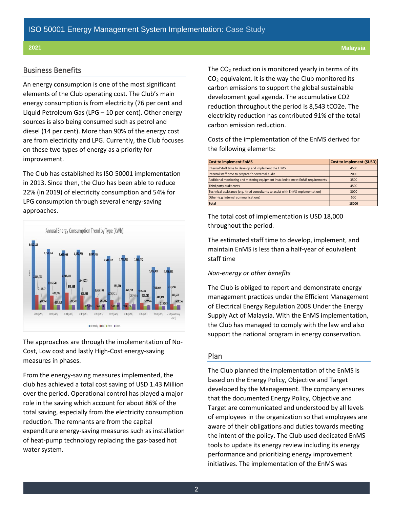#### Business Benefits

An energy consumption is one of the most significant elements of the Club operating cost. The Club's main energy consumption is from electricity (76 per cent and Liquid Petroleum Gas (LPG – 10 per cent). Other energy sources is also being consumed such as petrol and diesel (14 per cent). More than 90% of the energy cost are from electricity and LPG. Currently, the Club focuses on these two types of energy as a priority for improvement.

The Club has established its ISO 50001 implementation in 2013. Since then, the Club has been able to reduce 22% (in 2019) of electricity consumption and 54% for LPG consumption through several energy-saving approaches.



The approaches are through the implementation of No-Cost, Low cost and lastly High-Cost energy-saving measures in phases.

From the energy-saving measures implemented, the club has achieved a total cost saving of USD 1.43 Million over the period. Operational control has played a major role in the saving which account for about 86% of the total saving, especially from the electricity consumption reduction. The remnants are from the capital expenditure energy-saving measures such as installation of heat-pump technology replacing the gas-based hot water system.

The  $CO<sub>2</sub>$  reduction is monitored yearly in terms of its  $CO<sub>2</sub>$  equivalent. It is the way the Club monitored its carbon emissions to support the global sustainable development goal agenda. The accumulative CO2 reduction throughout the period is 8,543 tCO2e. The electricity reduction has contributed 91% of the total carbon emission reduction.

Costs of the implementation of the EnMS derived for the following elements:

| <b>Cost to implement EnMS</b>                                                    | Cost to implement (\$USD) |
|----------------------------------------------------------------------------------|---------------------------|
| Internal Staff time to develop and implement the EnMS                            | 4500                      |
| Internal staff time to prepare for external audit                                | 2000                      |
| Additional monitoring and metering equipment installed to meet EnMS requirements | 3500                      |
| Third party audit costs                                                          | 4500                      |
| Technical assistance (e.g. hired consultants to assist with EnMS implementation) | 3000                      |
| Other (e.g. internal communications)                                             | 500                       |
| <b>Total</b>                                                                     | 18000                     |

The total cost of implementation is USD 18,000 throughout the period.

The estimated staff time to develop, implement, and maintain EnMS is less than a half-year of equivalent staff time

#### *Non-energy or other benefits*

The Club is obliged to report and demonstrate energy management practices under the Efficient Management of Electrical Energy Regulation 2008 Under the Energy Supply Act of Malaysia. With the EnMS implementation, the Club has managed to comply with the law and also support the national program in energy conservation.

### Plan

The Club planned the implementation of the EnMS is based on the Energy Policy, Objective and Target developed by the Management. The company ensures that the documented Energy Policy, Objective and Target are communicated and understood by all levels of employees in the organization so that employees are aware of their obligations and duties towards meeting the intent of the policy. The Club used dedicated EnMS tools to update its energy review including its energy performance and prioritizing energy improvement **Cost to implement EnMS** Cost to interest and the interest proposer the form of the interest of the interest of the interest of the interest of the interest of the interest of the interest of the interest of the interest o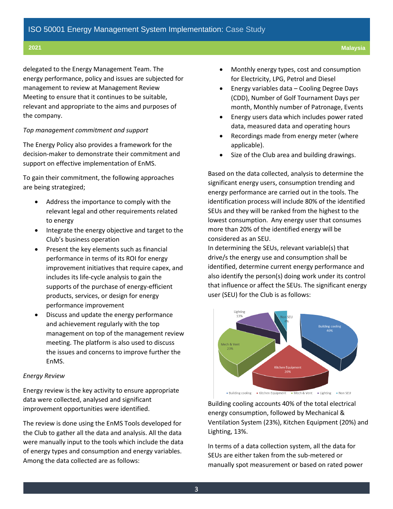#### **2021 Malaysia**

delegated to the Energy Management Team. The energy performance, policy and issues are subjected for management to review at Management Review Meeting to ensure that it continues to be suitable, relevant and appropriate to the aims and purposes of the company.

#### *Top management commitment and support*

The Energy Policy also provides a framework for the decision-maker to demonstrate their commitment and support on effective implementation of EnMS.

To gain their commitment, the following approaches are being strategized;

- Address the importance to comply with the relevant legal and other requirements related to energy
- Integrate the energy objective and target to the Club's business operation
- Present the key elements such as financial performance in terms of its ROI for energy improvement initiatives that require capex, and includes its life-cycle analysis to gain the supports of the purchase of energy-efficient products, services, or design for energy performance improvement
- Discuss and update the energy performance and achievement regularly with the top management on top of the management review meeting. The platform is also used to discuss the issues and concerns to improve further the EnMS.

#### *Energy Review*

Energy review is the key activity to ensure appropriate data were collected, analysed and significant improvement opportunities were identified.

The review is done using the EnMS Tools developed for the Club to gather all the data and analysis. All the data were manually input to the tools which include the data of energy types and consumption and energy variables. Among the data collected are as follows:

- Monthly energy types, cost and consumption for Electricity, LPG, Petrol and Diesel
- Energy variables data Cooling Degree Days (CDD), Number of Golf Tournament Days per month, Monthly number of Patronage, Events
- Energy users data which includes power rated data, measured data and operating hours
- Recordings made from energy meter (where applicable).
- Size of the Club area and building drawings.

Based on the data collected, analysis to determine the significant energy users, consumption trending and energy performance are carried out in the tools. The identification process will include 80% of the identified SEUs and they will be ranked from the highest to the lowest consumption. Any energy user that consumes more than 20% of the identified energy will be considered as an SEU.

In determining the SEUs, relevant variable(s) that drive/s the energy use and consumption shall be identified, determine current energy performance and also identify the person(s) doing work under its control that influence or affect the SEUs. The significant energy user (SEU) for the Club is as follows:



Building cooling accounts 40% of the total electrical energy consumption, followed by Mechanical & Ventilation System (23%), Kitchen Equipment (20%) and Lighting, 13%.

In terms of a data collection system, all the data for SEUs are either taken from the sub-metered or manually spot measurement or based on rated power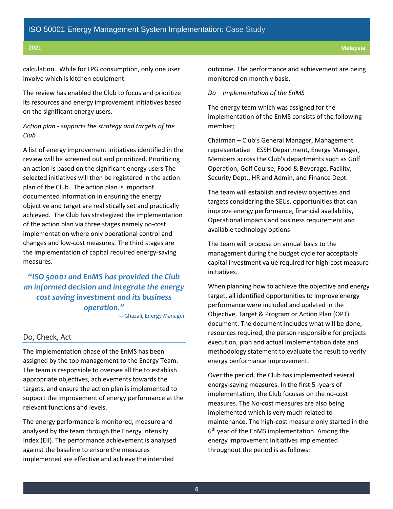calculation. While for LPG consumption, only one user involve which is kitchen equipment.

The review has enabled the Club to focus and prioritize its resources and energy improvement initiatives based on the significant energy users.

## *Action plan - supports the strategy and targets of the Club*

A list of energy improvement initiatives identified in the review will be screened out and prioritized. Prioritizing an action is based on the significant energy users The selected initiatives will then be registered in the action plan of the Club. The action plan is important documented information in ensuring the energy objective and target are realistically set and practically achieved. The Club has strategized the implementation of the action plan via three stages namely no-cost implementation where only operational control and changes and low-cost measures. The third stages are the implementation of capital required energy-saving measures.

*"ISO 50001 and EnMS has provided the Club an informed decision and integrate the energy cost saving investment and its business operation."*

—Ghazali, Energy Manager

#### Do, Check, Act

The implementation phase of the EnMS has been assigned by the top management to the Energy Team. The team is responsible to oversee all the to establish appropriate objectives, achievements towards the targets, and ensure the action plan is implemented to support the improvement of energy performance at the relevant functions and levels.

The energy performance is monitored, measure and analysed by the team through the Energy Intensity Index (EII). The performance achievement is analysed against the baseline to ensure the measures implemented are effective and achieve the intended

outcome. The performance and achievement are being monitored on monthly basis.

#### *Do – Implementation of the EnMS*

The energy team which was assigned for the implementation of the EnMS consists of the following member;

Chairman – Club's General Manager, Management representative – ESSH Department, Energy Manager, Members across the Club's departments such as Golf Operation, Golf Course, Food & Beverage, Facility, Security Dept., HR and Admin, and Finance Dept.

The team will establish and review objectives and targets considering the SEUs, opportunities that can improve energy performance, financial availability, Operational impacts and business requirement and available technology options

The team will propose on annual basis to the management during the budget cycle for acceptable capital investment value required for high-cost measure initiatives.

When planning how to achieve the objective and energy target, all identified opportunities to improve energy performance were included and updated in the Objective, Target & Program or Action Plan (OPT) document. The document includes what will be done, resources required, the person responsible for projects execution, plan and actual implementation date and methodology statement to evaluate the result to verify energy performance improvement.

Over the period, the Club has implemented several energy-saving measures. In the first 5 -years of implementation, the Club focuses on the no-cost measures. The No-cost measures are also being implemented which is very much related to maintenance. The high-cost measure only started in the 6<sup>th</sup> year of the EnMS implementation. Among the energy improvement initiatives implemented throughout the period is as follows: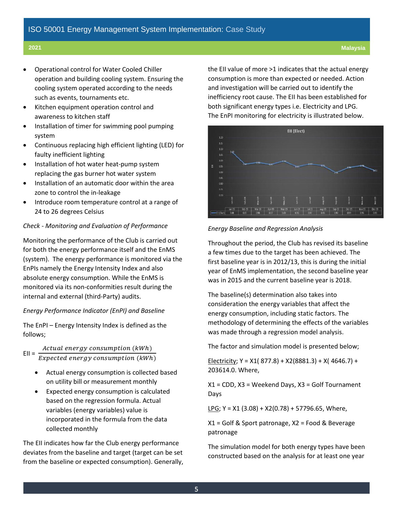- Operational control for Water Cooled Chiller operation and building cooling system. Ensuring the cooling system operated according to the needs such as events, tournaments etc.
- Kitchen equipment operation control and awareness to kitchen staff
- Installation of timer for swimming pool pumping system
- Continuous replacing high efficient lighting (LED) for faulty inefficient lighting
- Installation of hot water heat-pump system replacing the gas burner hot water system
- Installation of an automatic door within the area zone to control the in-leakage
- Introduce room temperature control at a range of 24 to 26 degrees Celsius

### *Check - Monitoring and Evaluation of Performance*

Monitoring the performance of the Club is carried out for both the energy performance itself and the EnMS (system). The energy performance is monitored via the EnPIs namely the Energy Intensity Index and also absolute energy consumption. While the EnMS is monitored via its non-conformities result during the internal and external (third-Party) audits.

#### *Energy Performance Indicator (EnPI) and Baseline*

The EnPI – Energy Intensity Index is defined as the follows;

 $EII =$ Actual energy consumption (kWh)  $\overline{Expected\ energy\ consumption\ (kWh)}$ 

- Actual energy consumption is collected based on utility bill or measurement monthly
- Expected energy consumption is calculated based on the regression formula. Actual variables (energy variables) value is incorporated in the formula from the data collected monthly

The EII indicates how far the Club energy performance deviates from the baseline and target (target can be set from the baseline or expected consumption). Generally, the EII value of more >1 indicates that the actual energy consumption is more than expected or needed. Action and investigation will be carried out to identify the inefficiency root cause. The EII has been established for both significant energy types i.e. Electricity and LPG. The EnPI monitoring for electricity is illustrated below.



#### *Energy Baseline and Regression Analysis*

Throughout the period, the Club has revised its baseline a few times due to the target has been achieved. The first baseline year is in 2012/13, this is during the initial year of EnMS implementation, the second baseline year was in 2015 and the current baseline year is 2018.

The baseline(s) determination also takes into consideration the energy variables that affect the energy consumption, including static factors. The methodology of determining the effects of the variables was made through a regression model analysis.

The factor and simulation model is presented below;

Electricity; Y = X1( 877.8) + X2(8881.3) + X( 4646.7) + 203614.0. Where,

X1 = CDD, X3 = Weekend Days, X3 = Golf Tournament Days

LPG;  $Y = X1$  (3.08) +  $X2(0.78) + 57796.65$ , Where,

X1 = Golf & Sport patronage, X2 = Food & Beverage patronage

The simulation model for both energy types have been constructed based on the analysis for at least one year